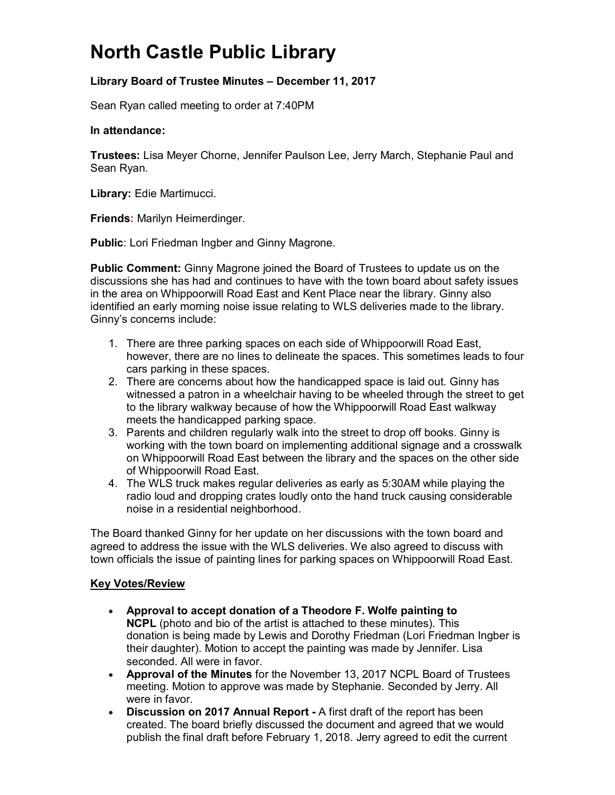# **North Castle Public Library**

# **Library Board of Trustee Minutes – December 11, 2017**

Sean Ryan called meeting to order at 7:40PM

#### **In attendance:**

**Trustees:** Lisa Meyer Chorne, Jennifer Paulson Lee, Jerry March, Stephanie Paul and Sean Ryan.

**Library:** Edie Martimucci.

**Friends:** Marilyn Heimerdinger.

**Public**: Lori Friedman Ingber and Ginny Magrone.

**Public Comment:** Ginny Magrone joined the Board of Trustees to update us on the discussions she has had and continues to have with the town board about safety issues in the area on Whippoorwill Road East and Kent Place near the library. Ginny also identified an early morning noise issue relating to WLS deliveries made to the library. Ginny's concerns include:

- 1. There are three parking spaces on each side of Whippoorwill Road East, however, there are no lines to delineate the spaces. This sometimes leads to four cars parking in these spaces.
- 2. There are concerns about how the handicapped space is laid out. Ginny has witnessed a patron in a wheelchair having to be wheeled through the street to get to the library walkway because of how the Whippoorwill Road East walkway meets the handicapped parking space.
- 3. Parents and children regularly walk into the street to drop off books. Ginny is working with the town board on implementing additional signage and a crosswalk on Whippoorwill Road East between the library and the spaces on the other side of Whippoorwill Road East.
- 4. The WLS truck makes regular deliveries as early as 5:30AM while playing the radio loud and dropping crates loudly onto the hand truck causing considerable noise in a residential neighborhood.

The Board thanked Ginny for her update on her discussions with the town board and agreed to address the issue with the WLS deliveries. We also agreed to discuss with town officials the issue of painting lines for parking spaces on Whippoorwill Road East.

### **Key Votes/Review**

- **Approval to accept donation of a Theodore F. Wolfe painting to NCPL** (photo and bio of the artist is attached to these minutes). This donation is being made by Lewis and Dorothy Friedman (Lori Friedman Ingber is their daughter). Motion to accept the painting was made by Jennifer. Lisa seconded. All were in favor.
- **Approval of the Minutes** for the November 13, 2017 NCPL Board of Trustees meeting. Motion to approve was made by Stephanie. Seconded by Jerry. All were in favor.
- **Discussion on 2017 Annual Report -** A first draft of the report has been created. The board briefly discussed the document and agreed that we would publish the final draft before February 1, 2018. Jerry agreed to edit the current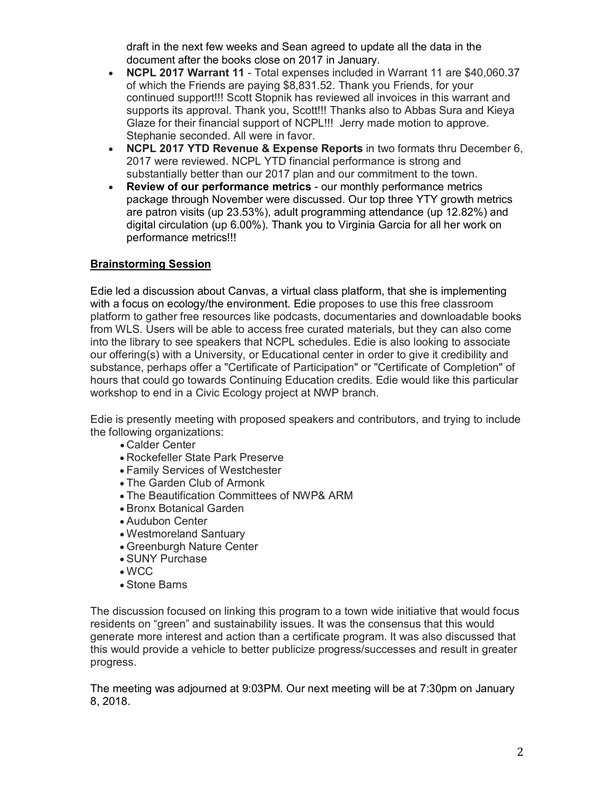draft in the next few weeks and Sean agreed to update all the data in the document after the books close on 2017 in January.

- **NCPL 2017 Warrant 11** Total expenses included in Warrant 11 are \$40,060.37 of which the Friends are paying \$8,831.52. Thank you Friends, for your continued support!!! Scott Stopnik has reviewed all invoices in this warrant and supports its approval. Thank you, Scott!!! Thanks also to Abbas Sura and Kieya Glaze for their financial support of NCPL!!! Jerry made motion to approve. Stephanie seconded. All were in favor.
- **NCPL 2017 YTD Revenue & Expense Reports** in two formats thru December 6, 2017 were reviewed. NCPL YTD financial performance is strong and substantially better than our 2017 plan and our commitment to the town.
- **Review of our performance metrics** our monthly performance metrics package through November were discussed. Our top three YTY growth metrics are patron visits (up 23.53%), adult programming attendance (up 12.82%) and digital circulation (up 6.00%). Thank you to Virginia Garcia for all her work on performance metrics!!!

# **Brainstorming Session**

Edie led a discussion about Canvas, a virtual class platform, that she is implementing with a focus on ecology/the environment. Edie proposes to use this free classroom platform to gather free resources like podcasts, documentaries and downloadable books from WLS. Users will be able to access free curated materials, but they can also come into the library to see speakers that NCPL schedules. Edie is also looking to associate our offering(s) with a University, or Educational center in order to give it credibility and substance, perhaps offer a "Certificate of Participation" or "Certificate of Completion" of hours that could go towards Continuing Education credits. Edie would like this particular workshop to end in a Civic Ecology project at NWP branch.

Edie is presently meeting with proposed speakers and contributors, and trying to include the following organizations:

- Calder Center
- Rockefeller State Park Preserve
- Family Services of Westchester
- The Garden Club of Armonk
- The Beautification Committees of NWP& ARM
- Bronx Botanical Garden
- Audubon Center
- Westmoreland Santuary
- Greenburgh Nature Center
- SUNY Purchase
- WCC
- Stone Barns

The discussion focused on linking this program to a town wide initiative that would focus residents on "green" and sustainability issues. It was the consensus that this would generate more interest and action than a certificate program. It was also discussed that this would provide a vehicle to better publicize progress/successes and result in greater progress.

The meeting was adjourned at 9:03PM. Our next meeting will be at 7:30pm on January 8, 2018.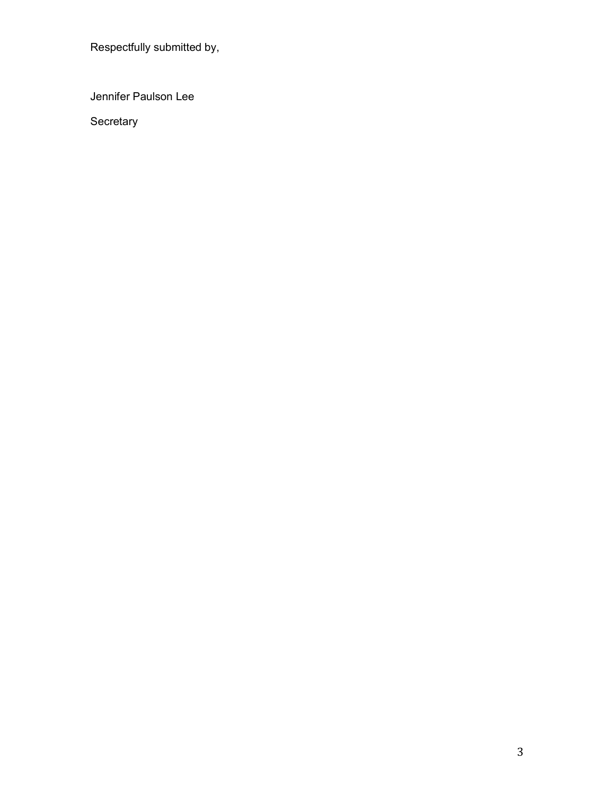Respectfully submitted by,

Jennifer Paulson Lee

Secretary